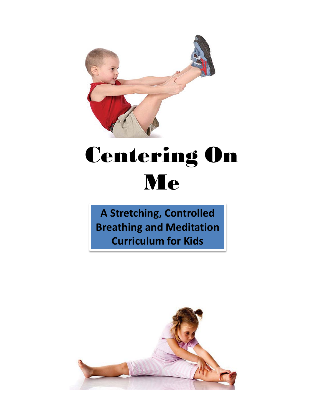

# Centering On Me

**A Stretching, Controlled Breathing and Meditation Curriculum for Kids**

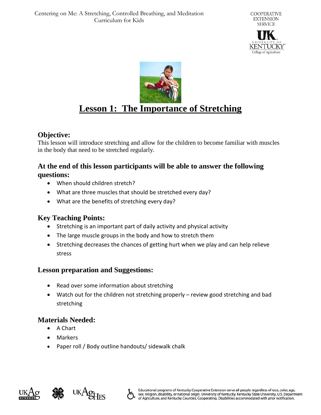



### **Lesson 1: The Importance of Stretching**

#### **Objective:**

This lesson will introduce stretching and allow for the children to become familiar with muscles in the body that need to be stretched regularly.

#### **At the end of this lesson participants will be able to answer the following questions:**

- When should children stretch?
- What are three muscles that should be stretched every day?
- What are the benefits of stretching every day?

#### **Key Teaching Points:**

- Stretching is an important part of daily activity and physical activity
- The large muscle groups in the body and how to stretch them
- Stretching decreases the chances of getting hurt when we play and can help relieve stress

#### **Lesson preparation and Suggestions:**

- Read over some information about stretching
- Watch out for the children not stretching properly review good stretching and bad stretching

#### **Materials Needed:**

- A Chart
- Markers
- Paper roll / Body outline handouts/ sidewalk chalk





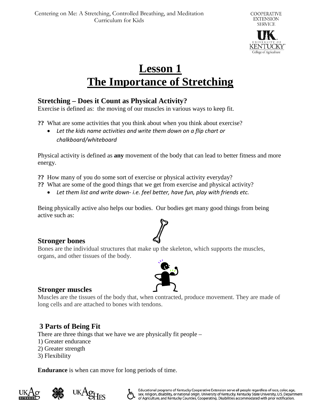

### **Lesson 1 The Importance of Stretching**

#### **Stretching – Does it Count as Physical Activity?**

Exercise is defined as: the moving of our muscles in various ways to keep fit.

**??** What are some activities that you think about when you think about exercise?

• *Let the kids name activities and write them down on a flip chart or chalkboard/whiteboard*

Physical activity is defined as **any** movement of the body that can lead to better fitness and more energy.

**??** How many of you do some sort of exercise or physical activity everyday?

- **??** What are some of the good things that we get from exercise and physical activity?
	- *Let them list and write down- i.e. feel better, have fun, play with friends etc.*

Being physically active also helps our bodies. Our bodies get many good things from being active such as:

**Stronger bones**

Bones are the individual structures that make up the skeleton, which supports the muscles, organs, and other tissues of the body.



#### **Stronger muscles**

Muscles are the tissues of the body that, when contracted, produce movement. They are made of long cells and are attached to bones with tendons.

#### **3 Parts of Being Fit**

There are three things that we have we are physically fit people –

- 1) Greater endurance
- 2) Greater strength
- 3) Flexibility

**Endurance** is when can move for long periods of time.





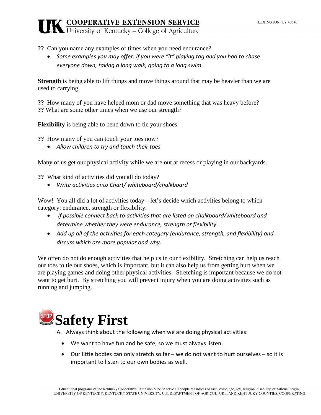- **??** Can you name any examples of times when you need endurance?
	- *Some examples you may offer: if you were "it" playing tag and you had to chase everyone down, taking a long walk, going to a long swim*

**Strength** is being able to lift things and move things around that may be heavier than we are used to carrying.

**??** How many of you have helped mom or dad move something that was heavy before? **??** What are some other times when we use our strength?

**Flexibility** is being able to bend down to tie your shoes.

**??** How many of you can touch your toes now?

• *Allow children to try and touch their toes*

Many of us get our physical activity while we are out at recess or playing in our backyards.

**??** What kind of activities did you all do today?

• *Write activities onto Chart/ whiteboard/chalkboard*

Wow! You all did a lot of activities today – let's decide which activities belong to which category: endurance, strength or flexibility.

- *If possible connect back to activities that are listed on chalkboard/whiteboard and determine whether they were endurance, strength or flexibility*.
- *Add up all of the activities for each category (endurance, strength, and flexibility) and discuss which are more popular and why.*

We often do not do enough activities that help us in our flexibility. Stretching can help us reach our toes to tie our shoes, which is important, but it can also help us from getting hurt when we are playing games and doing other physical activities. Stretching is important because we do not want to get hurt. By stretching you will prevent injury when you are doing activities such as running and jumping.

## **Safety First**

A. Always think about the following when we are doing physical activities:

- We want to have fun and be safe, so we must always listen.
- Our little bodies can only stretch so far we do not want to hurt ourselves so it is important to listen to our own bodies as well.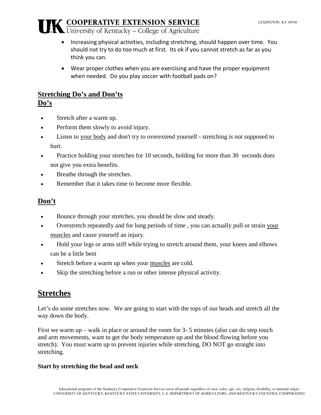- Increasing physical activities, including stretching, should happen over time. You should not try to do too much at first. Its ok if you cannot stretch as far as you think you can.
- Wear proper clothes when you are exercising and have the proper equipment when needed. Do you play soccer with football pads on?

### **Stretching Do's and Don'ts**

**Do's**

- Stretch after a warm up.
- Perform them slowly to avoid injury.
- Listen to [your body](http://fitness.families.com/blog/the-dos-and-donts-of-stretching) and don't try to overextend yourself stretching is not supposed to hurt.
- Practice holding your stretches for 10 seconds, holding for more than 30 seconds does not give you extra benefits.
- Breathe through the stretches.
- Remember that it takes time to become more flexible.

#### **Don't**

- Bounce through your stretches, you should be slow and steady.
- Overstretch repeatedly and for long periods of time , you can actually pull or strain [your](http://fitness.families.com/blog/the-dos-and-donts-of-stretching)  [muscles](http://fitness.families.com/blog/the-dos-and-donts-of-stretching) and cause yourself an injury.
- Hold your legs or arms stiff while trying to stretch around them, your knees and elbows can be a little bent
- Stretch before a warm up when your [muscles](http://fitness.families.com/blog/the-dos-and-donts-of-stretching) are cold.
- Skip the stretching before a run or other intense physical activity.

### **Stretches**

Let's do some stretches now. We are going to start with the tops of our heads and stretch all the way down the body.

First we warm up – walk in place or around the room for 3- 5 minutes (also can do step touch and arm movements, want to get the body temperature up and the blood flowing before you stretch). You must warm up to prevent injuries while stretching, DO NOT go straight into stretching.

#### **Start by stretching the head and neck**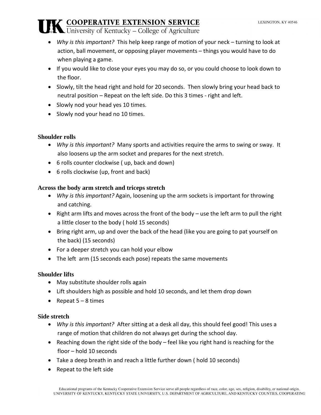- *Why is this important?* This help keep range of motion of your neck turning to look at action, ball movement, or opposing player movements – things you would have to do when playing a game.
- If you would like to close your eyes you may do so, or you could choose to look down to the floor.
- Slowly, tilt the head right and hold for 20 seconds. Then slowly bring your head back to neutral position – Repeat on the left side. Do this 3 times - right and left.
- Slowly nod your head yes 10 times.
- Slowly nod your head no 10 times.

#### **Shoulder rolls**

- *Why is this important?* Many sports and activities require the arms to swing or sway. It also loosens up the arm socket and prepares for the next stretch.
- 6 rolls counter clockwise ( up, back and down)
- 6 rolls clockwise (up, front and back)

#### **Across the body arm stretch and triceps stretch**

- *Why is this important?* Again, loosening up the arm sockets is important for throwing and catching.
- Right arm lifts and moves across the front of the body use the left arm to pull the right a little closer to the body ( hold 15 seconds)
- Bring right arm, up and over the back of the head (like you are going to pat yourself on the back) (15 seconds)
- For a deeper stretch you can hold your elbow
- The left arm (15 seconds each pose) repeats the same movements

#### **Shoulder lifts**

- May substitute shoulder rolls again
- Lift shoulders high as possible and hold 10 seconds, and let them drop down
- Repeat  $5 8$  times

#### **Side stretch**

- *Why is this important?* After sitting at a desk all day, this should feel good! This uses a range of motion that children do not always get during the school day.
- Reaching down the right side of the body feel like you right hand is reaching for the floor – hold 10 seconds
- Take a deep breath in and reach a little further down ( hold 10 seconds)
- Repeat to the left side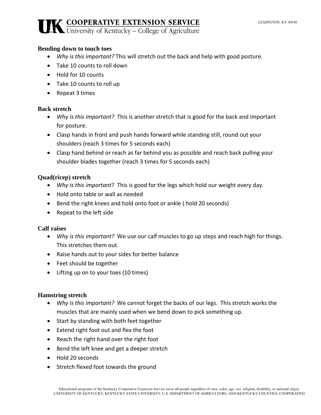#### **Bending down to touch toes**

- *Why is this important?* This will stretch out the back and help with good posture.
- Take 10 counts to roll down
- Hold for 10 counts
- Take 10 counts to roll up
- Repeat 3 times

#### **Back stretch**

- *Why is this important?* This is another stretch that is good for the back and important for posture.
- Clasp hands in front and push hands forward while standing still, round out your shoulders (reach 3 times for 5 seconds each)
- Clasp hand behind or reach as far behind you as possible and reach back pulling your shoulder blades together (reach 3 times for 5 seconds each)

#### **Quad(ricep) stretch**

- *Why is this important*? This is good for the legs which hold our weight every day.
- Hold onto table or wall as needed
- Bend the right knees and hold onto foot or ankle ( hold 20 seconds)
- Repeat to the left side

#### **Calf raises**

- *Why is this important?* We use our calf muscles to go up steps and reach high for things. This stretches them out.
- Raise hands out to your sides for better balance
- Feet should be together
- Lifting up on to your toes (10 times)

#### **Hamstring stretch**

- *Why is this important?* We cannot forget the backs of our legs. This stretch works the muscles that are mainly used when we bend down to pick something up.
- Start by standing with both feet together
- Extend right foot out and flex the foot
- Reach the right hand over the right foot
- Bend the left knee and get a deeper stretch
- Hold 20 seconds
- Stretch flexed foot towards the ground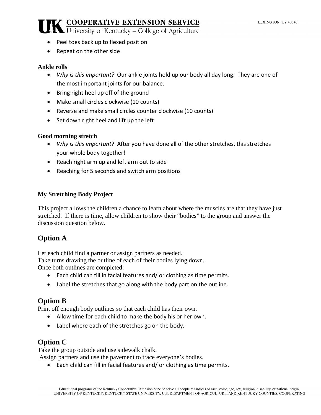- 
- Peel toes back up to flexed position
- Repeat on the other side

#### **Ankle rolls**

- *Why is this important?* Our ankle joints hold up our body all day long. They are one of the most important joints for our balance.
- Bring right heel up off of the ground
- Make small circles clockwise (10 counts)
- Reverse and make small circles counter clockwise (10 counts)
- Set down right heel and lift up the left

#### **Good morning stretch**

- *Why is this important*? After you have done all of the other stretches, this stretches your whole body together!
- Reach right arm up and left arm out to side
- Reaching for 5 seconds and switch arm positions

#### **My Stretching Body Project**

This project allows the children a chance to learn about where the muscles are that they have just stretched. If there is time, allow children to show their "bodies" to the group and answer the discussion question below.

### **Option A**

Let each child find a partner or assign partners as needed.

Take turns drawing the outline of each of their bodies lying down.

Once both outlines are completed:

- Each child can fill in facial features and/ or clothing as time permits.
- Label the stretches that go along with the body part on the outline.

#### **Option B**

Print off enough body outlines so that each child has their own.

- Allow time for each child to make the body his or her own.
- Label where each of the stretches go on the body.

#### **Option C**

Take the group outside and use sidewalk chalk.

Assign partners and use the pavement to trace everyone's bodies.

• Each child can fill in facial features and/ or clothing as time permits.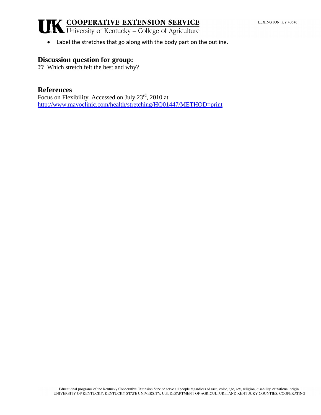• Label the stretches that go along with the body part on the outline.

#### **Discussion question for group:**

**??** Which stretch felt the best and why?

#### **References**

Focus on Flexibility. Accessed on July 23rd, 2010 at <http://www.mayoclinic.com/health/stretching/HQ01447/METHOD=print>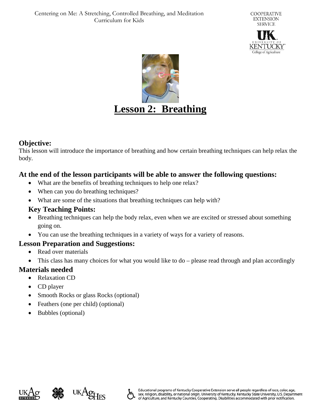



#### **Objective:**

This lesson will introduce the importance of breathing and how certain breathing techniques can help relax the body.

#### **At the end of the lesson participants will be able to answer the following questions:**

- What are the benefits of breathing techniques to help one relax?
- When can you do breathing techniques?
- What are some of the situations that breathing techniques can help with?

#### **Key Teaching Points:**

- Breathing techniques can help the body relax, even when we are excited or stressed about something going on.
- You can use the breathing techniques in a variety of ways for a variety of reasons.

#### **Lesson Preparation and Suggestions:**

- Read over materials
- This class has many choices for what you would like to do please read through and plan accordingly

#### **Materials needed**

- Relaxation CD
- CD player
- Smooth Rocks or glass Rocks (optional)
- Feathers (one per child) (optional)
- Bubbles (optional)





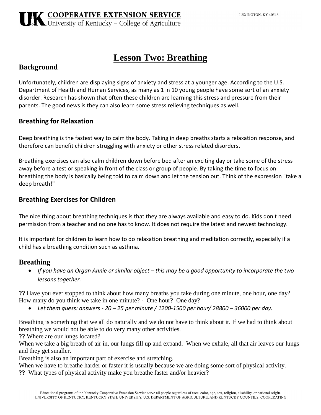### **Lesson Two: Breathing**

#### **Background**

Unfortunately, children are displaying signs of anxiety and stress at a younger age. According to the U.S. Department of Health and Human Services, as many as 1 in 10 young people have some sort of an anxiety disorder. Research has shown that often these children are learning this stress and pressure from their parents. The good news is they can also learn some stress relieving techniques as well.

#### **Breathing for Relaxation**

Deep breathing is the fastest way to calm the body. Taking in deep breaths starts a relaxation response, and therefore can benefit children struggling with anxiety or other stress related disorders.

Breathing exercises can also calm children down before bed after an exciting day or take some of the stress away before a test or speaking in front of the class or group of people. By taking the time to focus on breathing the body is basically being told to calm down and let the tension out. Think of the expression "take a deep breath!"

#### **Breathing Exercises for Children**

The nice thing about breathing techniques is that they are always available and easy to do. Kids don't need permission from a teacher and no one has to know. It does not require the latest and newest technology.

It is important for children to learn how to do relaxation breathing and meditation correctly, especially if a child has a breathing condition such as asthma.

#### **Breathing**

• *If you have an Organ Annie or similar object – this may be a good opportunity to incorporate the two lessons together.*

**??** Have you ever stopped to think about how many breaths you take during one minute, one hour, one day? How many do you think we take in one minute? - One hour? One day?

• *Let them guess: answers - 20 – 25 per minute / 1200-1500 per hour/ 28800 – 36000 per day.*

Breathing is something that we all do naturally and we do not have to think about it. If we had to think about breathing we would not be able to do very many other activities.

**??** Where are our lungs located?

When we take a big breath of air in, our lungs fill up and expand. When we exhale, all that air leaves our lungs and they get smaller.

Breathing is also an important part of exercise and stretching.

When we have to breathe harder or faster it is usually because we are doing some sort of physical activity. **??** What types of physical activity make you breathe faster and/or heavier?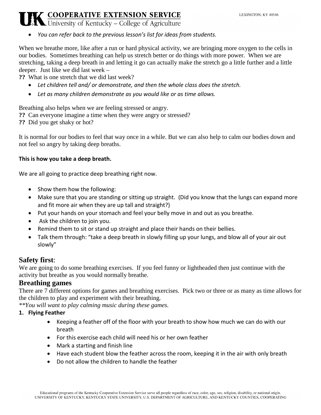#### **LEXINGTON KY 40546**

### **K COOPERATIVE EXTENSION SERVICE**<br>A University of Kentucky – College of Agriculture

• *You can refer back to the previous lesson's list for ideas from students.*

When we breathe more, like after a run or hard physical activity, we are bringing more oxygen to the cells in our bodies. Sometimes breathing can help us stretch better or do things with more power. When we are stretching, taking a deep breath in and letting it go can actually make the stretch go a little further and a little deeper. Just like we did last week –

**??** What is one stretch that we did last week?

- *Let children tell and/ or demonstrate, and then the whole class does the stretch.*
- *Let as many children demonstrate as you would like or as time allows.*

Breathing also helps when we are feeling stressed or angry.

- **??** Can everyone imagine a time when they were angry or stressed?
- **??** Did you get shaky or hot?

It is normal for our bodies to feel that way once in a while. But we can also help to calm our bodies down and not feel so angry by taking deep breaths.

#### **This is how you take a deep breath.**

We are all going to practice deep breathing right now.

- Show them how the following:
- Make sure that you are standing or sitting up straight. (Did you know that the lungs can expand more and fit more air when they are up tall and straight?)
- Put your hands on your stomach and feel your belly move in and out as you breathe.
- Ask the children to join you.
- Remind them to sit or stand up straight and place their hands on their bellies.
- Talk them through: "take a deep breath in slowly filling up your lungs, and blow all of your air out slowly"

#### **Safety first**:

We are going to do some breathing exercises. If you feel funny or lightheaded then just continue with the activity but breathe as you would normally breathe.

#### **Breathing games**

There are 7 different options for games and breathing exercises. Pick two or three or as many as time allows for the children to play and experiment with their breathing.

*\*\*You will want to play calming music during these games.*

#### **1. Flying Feather**

- Keeping a feather off of the floor with your breath to show how much we can do with our breath
- For this exercise each child will need his or her own feather
- Mark a starting and finish line
- Have each student blow the feather across the room, keeping it in the air with only breath
- Do not allow the children to handle the feather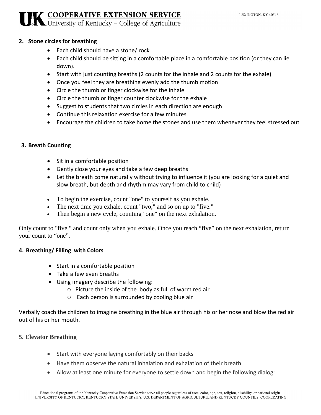#### **2. Stone circles for breathing**

- Each child should have a stone/ rock
- Each child should be sitting in a comfortable place in a comfortable position (or they can lie down).
- Start with just counting breaths (2 counts for the inhale and 2 counts for the exhale)
- Once you feel they are breathing evenly add the thumb motion
- Circle the thumb or finger clockwise for the inhale
- Circle the thumb or finger counter clockwise for the exhale
- Suggest to students that two circles in each direction are enough
- Continue this relaxation exercise for a few minutes
- Encourage the children to take home the stones and use them whenever they feel stressed out

#### **3. Breath Counting**

- Sit in a comfortable position
- Gently close your eyes and take a few deep breaths
- Let the breath come naturally without trying to influence it (you are looking for a quiet and slow breath, but depth and rhythm may vary from child to child)
- To begin the exercise, count "one" to yourself as you exhale.
- The next time you exhale, count "two," and so on up to "five."
- Then begin a new cycle, counting "one" on the next exhalation.

Only count to "five," and count only when you exhale. Once you reach "five" on the next exhalation, return your count to "one".

#### **4. Breathing/ Filling with Colors**

- Start in a comfortable position
- Take a few even breaths
- Using imagery describe the following:
	- o Picture the inside of the body as full of warm red air
	- o Each person is surrounded by cooling blue air

Verbally coach the children to imagine breathing in the blue air through his or her nose and blow the red air out of his or her mouth.

#### **5. Elevator Breathing**

- Start with everyone laying comfortably on their backs
- Have them observe the natural inhalation and exhalation of their breath
- Allow at least one minute for everyone to settle down and begin the following dialog: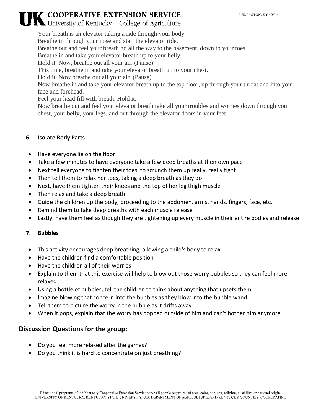### **K COOPERATIVE EXTENSION SERVICE**

Your breath is an elevator taking a ride through your body. Breathe in through your nose and start the elevator ride. Breathe out and feel your breath go all the way to the basement, down to your toes. Breathe in and take your elevator breath up to your belly. Hold it. Now, breathe out all your air. (Pause) This time, breathe in and take your elevator breath up to your chest. Hold it. Now breathe out all your air. (Pause) Now breathe in and take your elevator breath up to the top floor, up through your throat and into your face and forehead. Feel your head fill with breath. Hold it. Now breathe out and feel your elevator breath take all your troubles and worries down through your chest, your belly, your legs, and out through the elevator doors in your feet.

#### **6. Isolate Body Parts**

- Have everyone lie on the floor
- Take a few minutes to have everyone take a few deep breaths at their own pace
- Next tell everyone to tighten their toes, to scrunch them up really, really tight
- Then tell them to relax her toes, taking a deep breath as they do
- Next, have them tighten their knees and the top of her leg thigh muscle
- Then relax and take a deep breath
- Guide the children up the body, proceeding to the abdomen, arms, hands, fingers, face, etc.
- Remind them to take deep breaths with each muscle release
- Lastly, have them feel as though they are tightening up every muscle in their entire bodies and release

#### **7. Bubbles**

- This activity encourages deep breathing, allowing a child's body to relax
- Have the children find a comfortable position
- Have the children all of their worries
- Explain to them that this exercise will help to blow out those worry bubbles so they can feel more relaxed
- Using a bottle of bubbles, tell the children to think about anything that upsets them
- Imagine blowing that concern into the bubbles as they blow into the bubble wand
- Tell them to picture the worry in the bubble as it drifts away
- When it pops, explain that the worry has popped outside of him and can't bother him anymore

#### **Discussion Questions for the group:**

- Do you feel more relaxed after the games?
- Do you think it is hard to concentrate on just breathing?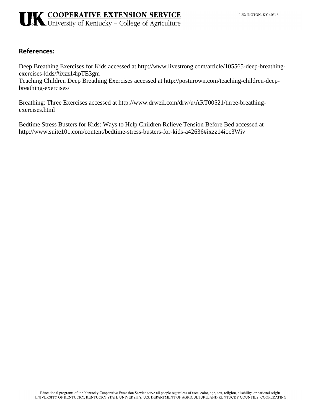### **UK COOPERATIVE EXTENSION SERVICE**<br>UNIVERSITY Of Kentucky – College of Agriculture

#### **References:**

Deep Breathing Exercises for Kids accessed at http://www.livestrong.com/article/105565-deep-breathingexercises-kids/#ixzz14ipTE3gm

Teaching Children Deep Breathing Exercises accessed at http://posturown.com/teaching-children-deepbreathing-exercises/

Breathing: Three Exercises accessed at http://www.drweil.com/drw/u/ART00521/three-breathingexercises.html

[Bedtime Stress Busters for Kids: Ways to Help Children Relieve Tension Before Bed](http://www.suite101.com/content/bedtime-stress-busters-for-kids-a42636#ixzz14ioc3Wiv) accessed at http://www.suite101.com/content/bedtime-stress-busters-for-kids-a42636#ixzz14ioc3Wiv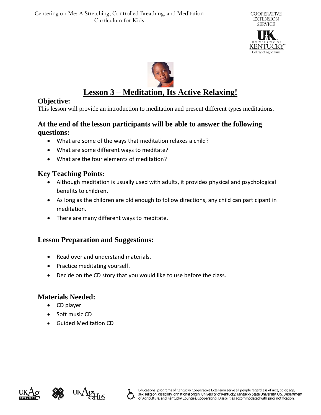



### **Lesson 3 – Meditation, Its Active Relaxing!**

#### **Objective:**

This lesson will provide an introduction to meditation and present different types meditations.

#### **At the end of the lesson participants will be able to answer the following questions:**

- What are some of the ways that meditation relaxes a child?
- What are some different ways to meditate?
- What are the four elements of meditation?

#### **Key Teaching Points**:

- Although meditation is usually used with adults, it provides physical and psychological benefits to children.
- As long as the children are old enough to follow directions, any child can participant in meditation.
- There are many different ways to meditate.

#### **Lesson Preparation and Suggestions:**

- Read over and understand materials.
- Practice meditating yourself.
- Decide on the CD story that you would like to use before the class.

#### **Materials Needed:**

- CD player
- Soft music CD
- Guided Meditation CD





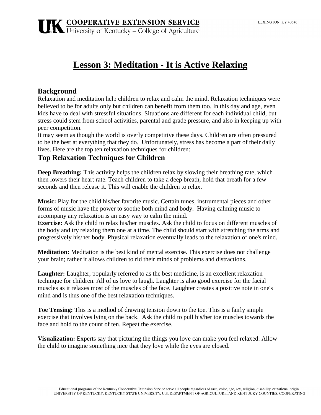### **Lesson 3: Meditation - It is Active Relaxing**

#### **Background**

Relaxation and meditation help children to relax and calm the mind. Relaxation techniques were believed to be for adults only but children can benefit from them too. In this day and age, even kids have to deal with stressful situations. Situations are different for each individual child, but stress could stem from school activities, parental and grade pressure, and also in keeping up with peer competition.

It may seem as though the world is overly competitive these days. Children are often pressured to be the best at everything that they do. Unfortunately, stress has become a part of their daily lives. Here are the top ten relaxation techniques for children:

#### **Top Relaxation Techniques for Children**

**Deep Breathing:** This activity helps the children relax by slowing their breathing rate, which then lowers their heart rate. Teach children to take a deep breath, hold that breath for a few seconds and then release it. This will enable the children to relax.

**Music:** Play for the child his/her favorite music. Certain tunes, instrumental pieces and other forms of music have the power to soothe both mind and body. Having calming music to accompany any relaxation is an easy way to calm the mind.

**Exercise:** Ask the child to relax his/her muscles. Ask the child to focus on different muscles of the body and try relaxing them one at a time. The child should start with stretching the arms and progressively his/her body. Physical relaxation eventually leads to the relaxation of one's mind.

**Meditation:** Meditation is the best kind of mental exercise. This exercise does not challenge your brain; rather it allows children to rid their minds of problems and distractions.

**Laughter:** Laughter, popularly referred to as the best medicine, is an excellent relaxation technique for children. All of us love to laugh. Laughter is also good exercise for the facial muscles as it relaxes most of the muscles of the face. Laughter creates a positive note in one's mind and is thus one of the best relaxation techniques.

**Toe Tensing:** This is a method of drawing tension down to the toe. This is a fairly simple exercise that involves lying on the back. Ask the child to pull his/her toe muscles towards the face and hold to the count of ten. Repeat the exercise.

**Visualization:** Experts say that picturing the things you love can make you feel relaxed. Allow the child to imagine something nice that they love while the eyes are closed.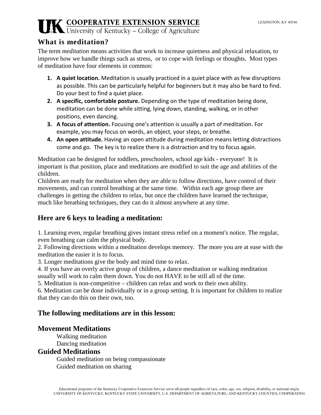#### **What is meditation?**

The term *meditation* means activities that work to increase quietness and physical relaxation, to improve how we handle things such as stress, or to cope with feelings or thoughts. Most types of meditation have four elements in common:

- **1. A quiet location.** Meditation is usually practiced in a quiet place with as few disruptions as possible. This can be particularly helpful for beginners but it may also be hard to find. Do your best to find a quiet place.
- **2. A specific, comfortable posture.** Depending on the type of meditation being done, meditation can be done while sitting, lying down, standing, walking, or in other positions, even dancing.
- **3. A focus of attention.** Focusing one's attention is usually a part of meditation. For example, you may focus on words, an object, your steps, or breathe.
- **4. An open attitude.** Having an open attitude during meditation means letting distractions come and go. The key is to realize there is a distraction and try to focus again.

Meditation can be designed for toddlers, preschoolers, school age kids - everyone! It is important is that position, place and meditations are modified to suit the age and abilities of the children.

Children are ready for meditation when they are able to follow directions, have control of their movements, and can control breathing at the same time. Within each age group there are challenges in getting the children to relax, but once the children have learned the technique, much like breathing techniques, they can do it almost anywhere at any time.

### **Here are 6 keys to leading a meditation:**

1. Learning even, regular breathing gives instant stress relief on a moment's notice. The regular, even breathing can calm the physical body.

2. Following directions within a meditation develops memory. The more you are at ease with the meditation the easier it is to focus.

3. Longer meditations give the body and mind time to relax.

4. If you have an overly active group of children, a dance meditation or walking meditation

usually will work to calm them down. You do not HAVE to be still all of the time.

5. Meditation is non-competitive – children can relax and work to their own ability.

6. Meditation can be done individually or in a group setting. It is important for children to realize that they can do this on their own, too.

#### **The following meditations are in this lesson:**

#### **Movement Meditations**

Walking meditation Dancing meditation

#### **Guided Meditations**

Guided meditation on being compassionate Guided meditation on sharing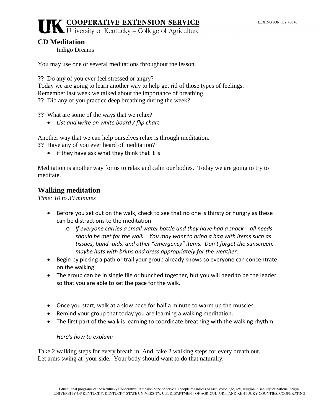#### **CD Meditation**

Indigo Dreams

You may use one or several meditations throughout the lesson.

**??** Do any of you ever feel stressed or angry?

Today we are going to learn another way to help get rid of those types of feelings. Remember last week we talked about the importance of breathing. **??** Did any of you practice deep breathing during the week?

**??** What are some of the ways that we relax?

• *List and write on white board / flip chart*

Another way that we can help ourselves relax is through meditation.

**??** Have any of you ever heard of meditation?

• if they have ask what they think that it is

Meditation is another way for us to relax and calm our bodies. Today we are going to try to meditate.

#### **Walking meditation**

*Time: 10 to 30 minutes*

- Before you set out on the walk, check to see that no one is thirsty or hungry as these can be distractions to the meditation.
	- o *If everyone carries a small water bottle and they have had a snack - all needs should be met for the walk. You may want to bring a bag with items such as tissues, band -aids, and other "emergency" items. Don't forget the sunscreen, maybe hats with brims and dress appropriately for the weather*.
- Begin by picking a path or trail your group already knows so everyone can concentrate on the walking.
- The group can be in single file or bunched together, but you will need to be the leader so that you are able to set the pace for the walk.
- Once you start, walk at a slow pace for half a minute to warm up the muscles.
- Remind your group that today you are learning a walking meditation.
- The first part of the walk is learning to coordinate breathing with the walking rhythm.

*Here's how to explain:*

Take 2 walking steps for every breath in. And, take 2 walking steps for every breath out. Let arms swing at your side. Your body should want to do that naturally.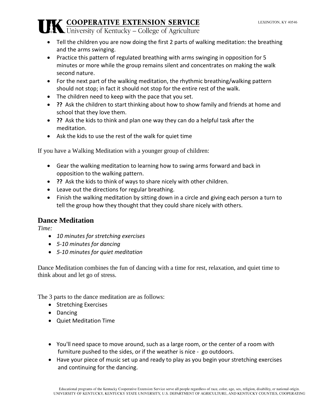- Tell the children you are now doing the first 2 parts of walking meditation: the breathing and the arms swinging.
- Practice this pattern of regulated breathing with arms swinging in opposition for 5 minutes or more while the group remains silent and concentrates on making the walk second nature.
- For the next part of the walking meditation, the rhythmic breathing/walking pattern should not stop; in fact it should not stop for the entire rest of the walk.
- The children need to keep with the pace that you set.
- **??** Ask the children to start thinking about how to show family and friends at home and school that they love them.
- **??** Ask the kids to think and plan one way they can do a helpful task after the meditation.
- Ask the kids to use the rest of the walk for quiet time

If you have a Walking Meditation with a younger group of children:

- Gear the walking meditation to learning how to swing arms forward and back in opposition to the walking pattern.
- **??** Ask the kids to think of ways to share nicely with other children.
- Leave out the directions for regular breathing.
- Finish the walking meditation by sitting down in a circle and giving each person a turn to tell the group how they thought that they could share nicely with others.

#### **Dance Meditation**

*Time:*

- *10 minutes for stretching exercises*
- *5-10 minutes for dancing*
- *5-10 minutes for quiet meditation*

Dance Meditation combines the fun of dancing with a time for rest, relaxation, and quiet time to think about and let go of stress.

The 3 parts to the dance meditation are as follows:

- Stretching Exercises
- Dancing
- Quiet Meditation Time
- You'll need space to move around, such as a large room, or the center of a room with furniture pushed to the sides, or if the weather is nice - go outdoors.
- Have your piece of music set up and ready to play as you begin your stretching exercises and continuing for the dancing.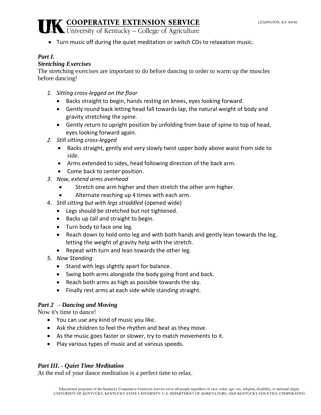• Turn music off during the quiet meditation or switch CDs to relaxation music.

#### *Part I.*

#### *Stretching Exercises*

The stretching exercises are important to do before dancing in order to warm up the muscles before dancing!

- *1. Sitting cross-legged on the floor*
	- Backs straight to begin, hands resting on knees, eyes looking forward.
	- Gently round back letting head fall towards lap, the natural weight of body and gravity stretching the spine.
	- Gently return to upright position by unfolding from base of spine to top of head, eyes looking forward again.
- *2. Still sitting cross-legged*
	- Backs straight, gently and very slowly twist upper body above waist from side to side.
	- Arms extended to sides, head following direction of the back arm.
	- Come back to center position.
- *3. Now, extend arms overhead*
	- Stretch one arm higher and then stretch the other arm higher.
	- Alternate reaching up 4 times with each arm.
- 4. *Still sitting but with legs straddled* (opened wide)
	- Legs should be stretched but not tightened.
	- Backs up tall and straight to begin.
	- Turn body to face one leg.
	- Reach down to hold onto leg and with both hands and gently lean towards the leg, letting the weight of gravity help with the stretch.
	- Repeat with turn and lean towards the other leg.
- *5. Now Standing*
	- Stand with legs slightly apart for balance.
	- Swing both arms alongside the body going front and back.
	- Reach both arms as high as possible towards the sky.
	- Finally rest arms at each side while standing straight.

#### *Part 2 - Dancing and Moving*

Now it's time to dance!

- You can use any kind of music you like.
- Ask the children to feel the rhythm and beat as they move.
- As the music goes faster or slower, try to match movements to it.
- Play various types of music and at various speeds.

#### *Part III. - Quiet Time Meditation*

At the end of your dance meditation is a perfect time to relax.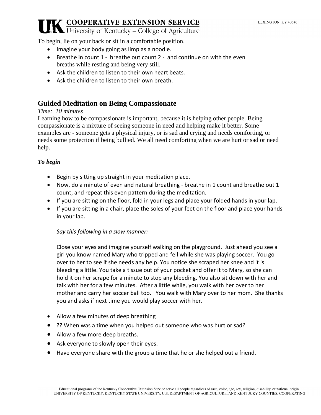To begin, lie on your back or sit in a comfortable position.

- Imagine your body going as limp as a noodle.
- Breathe in count 1 breathe out count 2 and continue on with the even breaths while resting and being very still.
- Ask the children to listen to their own heart beats.
- Ask the children to listen to their own breath.

#### **Guided Meditation on Being Compassionate**

#### *Time: 10 minutes*

Learning how to be compassionate is important, because it is helping other people. Being compassionate is a mixture of seeing someone in need and helping make it better. Some examples are - someone gets a physical injury, or is sad and crying and needs comforting, or needs some protection if being bullied. We all need comforting when we are hurt or sad or need help.

#### *To begin*

- Begin by sitting up straight in your meditation place.
- Now, do a minute of even and natural breathing breathe in 1 count and breathe out 1 count, and repeat this even pattern during the meditation.
- If you are sitting on the floor, fold in your legs and place your folded hands in your lap.
- If you are sitting in a chair, place the soles of your feet on the floor and place your hands in your lap.

#### *Say this following in a slow manner:*

Close your eyes and imagine yourself walking on the playground. Just ahead you see a girl you know named Mary who tripped and fell while she was playing soccer. You go over to her to see if she needs any help. You notice she scraped her knee and it is bleeding a little. You take a tissue out of your pocket and offer it to Mary, so she can hold it on her scrape for a minute to stop any bleeding. You also sit down with her and talk with her for a few minutes. After a little while, you walk with her over to her mother and carry her soccer ball too. You walk with Mary over to her mom. She thanks you and asks if next time you would play soccer with her.

- Allow a few minutes of deep breathing
- **??** When was a time when you helped out someone who was hurt or sad?
- Allow a few more deep breaths.
- Ask everyone to slowly open their eyes.
- Have everyone share with the group a time that he or she helped out a friend.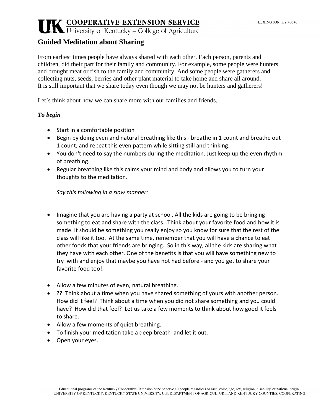#### **Guided Meditation about Sharing**

From earliest times people have always shared with each other. Each person, parents and children, did their part for their family and community. For example, some people were hunters and brought meat or fish to the family and community. And some people were gatherers and collecting nuts, seeds, berries and other plant material to take home and share all around. It is still important that we share today even though we may not be hunters and gatherers!

Let's think about how we can share more with our families and friends.

#### *To begin*

- Start in a comfortable position
- Begin by doing even and natural breathing like this breathe in 1 count and breathe out 1 count, and repeat this even pattern while sitting still and thinking.
- You don't need to say the numbers during the meditation. Just keep up the even rhythm of breathing.
- Regular breathing like this calms your mind and body and allows you to turn your thoughts to the meditation.

*Say this following in a slow manner:*

- Imagine that you are having a party at school. All the kids are going to be bringing something to eat and share with the class. Think about your favorite food and how it is made. It should be something you really enjoy so you know for sure that the rest of the class will like it too. At the same time, remember that you will have a chance to eat other foods that your friends are bringing. So in this way, all the kids are sharing what they have with each other. One of the benefits is that you will have something new to try with and enjoy that maybe you have not had before - and you get to share your favorite food too!.
- Allow a few minutes of even, natural breathing.
- **??** Think about a time when you have shared something of yours with another person. How did it feel? Think about a time when you did not share something and you could have? How did that feel? Let us take a few moments to think about how good it feels to share.
- Allow a few moments of quiet breathing.
- To finish your meditation take a deep breath and let it out.
- Open your eyes.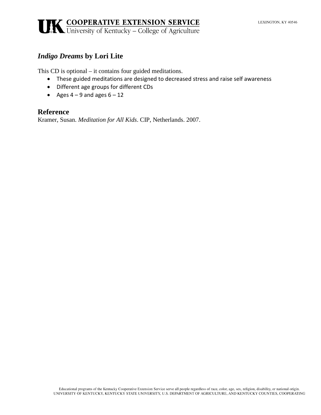#### *Indigo Dreams* **by Lori Lite**

This CD is optional – it contains four guided meditations.

- These guided meditations are designed to decreased stress and raise self awareness
- Different age groups for different CDs
- Ages  $4 9$  and ages  $6 12$

#### **Reference**

Kramer, Susan. *Meditation for All Kids*. CIP, Netherlands. 2007.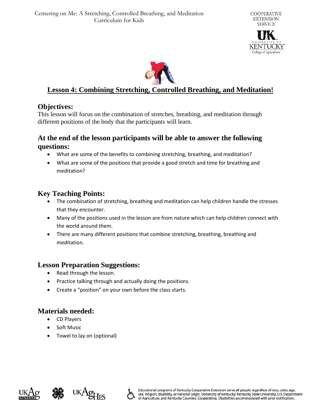



#### **Lesson 4: Combining Stretching, Controlled Breathing, and Meditation!**

#### **Objectives:**

This lesson will focus on the combination of stretches, breathing, and meditation through different positions of the body that the participants will learn.

#### **At the end of the lesson participants will be able to answer the following questions:**

- What are some of the benefits to combining stretching, breathing, and meditation?
- What are some of the positions that provide a good stretch and time for breathing and meditation?

#### **Key Teaching Points:**

- The combination of stretching, breathing and meditation can help children handle the stresses that they encounter.
- Many of the positions used in the lesson are from nature which can help children connect with the world around them.
- There are many different positions that combine stretching, breathing, breathing and meditation.

#### **Lesson Preparation Suggestions:**

- Read through the lesson.
- Practice talking through and actually doing the positions.
- Create a "position" on your own before the class starts.

#### **Materials needed:**

- CD Players
- Soft Music
- Towel to lay on (optional)





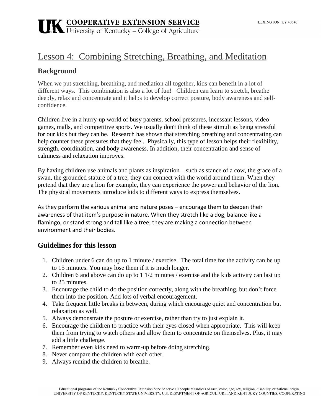### Lesson 4: Combining Stretching, Breathing, and Meditation

#### **Background**

When we put stretching, breathing, and mediation all together, kids can benefit in a lot of different ways. This combination is also a lot of fun! Children can learn to stretch, breathe deeply, relax and concentrate and it helps to develop correct posture, body awareness and selfconfidence.

Children live in a hurry-up world of [busy parents,](http://www.yogajournal.com/lifestyle/440) school pressures, incessant lessons, video games, malls, and competitive sports. We usually don't think of these stimuli as being stressful for our kids but they can be. Research has shown that stretching breathing and concentrating can help counter these pressures that they feel. Physically, this type of lesson helps their flexibility, strength, coordination, and [body awareness.](http://www.yogajournal.com/lifestyle/2857) In addition, their concentration and sense of calmness and relaxation improves.

By having children use animals and plants as inspiration—such as stance of a cow, the grace of a swan, the grounded stature of a tree, they can connect with the world around them. When they pretend that they are a lion for example, they can experience the power and behavior of the lion. The physical movements introduce kids to different ways to express themselves.

As they perform the various animal and nature poses – encourage them to deepen their awareness of that item's purpose in nature. When they stretch like a dog, balance like a flamingo, or stand strong and tall like a tree, they are making a connection between environment and their bodies.

#### **Guidelines for this lesson**

- 1. Children under 6 can do up to 1 minute / exercise. The total time for the activity can be up to 15 minutes. You may lose them if it is much longer.
- 2. Children 6 and above can do up to 1 1/2 minutes / exercise and the kids activity can last up to 25 minutes.
- 3. Encourage the child to do the position correctly, along with the breathing, but don't force them into the position. Add lots of verbal encouragement.
- 4. Take frequent little breaks in between, during which encourage quiet and concentration but relaxation as well.
- 5. Always demonstrate the posture or exercise, rather than try to just explain it.
- 6. Encourage the children to practice with their eyes closed when appropriate. This will keep them from trying to watch others and allow them to concentrate on themselves. Plus, it may add a little challenge.
- 7. Remember even kids need to warm-up before doing stretching.
- 8. Never compare the children with each other.
- 9. Always remind the children to breathe.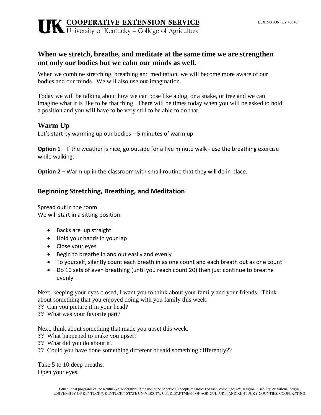#### **When we stretch, breathe, and meditate at the same time we are strengthen not only our bodies but we calm our minds as well.**

When we combine stretching, breathing and meditation, we will become more aware of our bodies and our minds. We will also use our imagination.

Today we will be talking about how we can pose like a dog, or a snake, or tree and we can imagine what it is like to be that thing. There will be times today when you will be asked to hold a position and you will have to be very still to be able to do that.

#### **Warm Up**

Let's start by warming up our bodies – 5 minutes of warm up

**Option 1** – If the weather is nice, go outside for a five minute walk - use the breathing exercise while walking.

**Option 2** – Warm up in the classroom with small routine that they will do in place.

#### **Beginning Stretching, Breathing, and Meditation**

Spread out in the room We will start in a sitting position:

- Backs are up straight
- Hold your hands in your lap
- Close your eyes
- Begin to breathe in and out easily and evenly
- To yourself, silently count each breath in as one count and each breath out as one count
- Do 10 sets of even breathing (until you reach count 20) then just continue to breathe evenly

Next, keeping your eyes closed, I want you to think about your family and your friends. Think about something that you enjoyed doing with you family this week.

- **??** Can you picture it in your head?
- **??** What was your favorite part?

Next, think about something that made you upset this week.

- **??** What happened to make you upset?
- **??** What did you do about it?
- **??** Could you have done something different or said something differently??

Take 5 to 10 deep breaths. Open your eyes.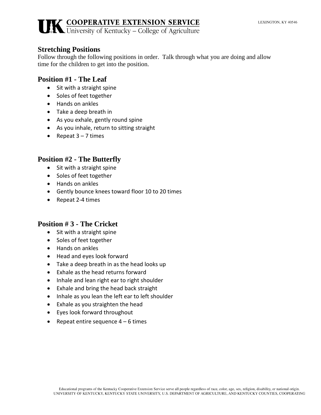#### **Stretching Positions**

Follow through the following positions in order. Talk through what you are doing and allow time for the children to get into the position.

#### **Position #1 - The Leaf**

- Sit with a straight spine
- Soles of feet together
- Hands on ankles
- Take a deep breath in
- As you exhale, gently round spine
- As you inhale, return to sitting straight
- Repeat 3 7 times

#### **Position #2 - The Butterfly**

- Sit with a straight spine
- Soles of feet together
- Hands on ankles
- Gently bounce knees toward floor 10 to 20 times
- Repeat 2-4 times

#### **Position # 3 - The Cricket**

- Sit with a straight spine
- Soles of feet together
- Hands on ankles
- Head and eyes look forward
- Take a deep breath in as the head looks up
- Exhale as the head returns forward
- Inhale and lean right ear to right shoulder
- Exhale and bring the head back straight
- Inhale as you lean the left ear to left shoulder
- Exhale as you straighten the head
- Eyes look forward throughout
- Repeat entire sequence  $4 6$  times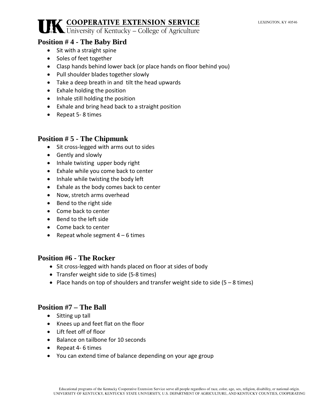#### **Position # 4 - The Baby Bird**

- Sit with a straight spine
- Soles of feet together
- Clasp hands behind lower back (or place hands on floor behind you)
- Pull shoulder blades together slowly
- Take a deep breath in and tilt the head upwards
- Exhale holding the position
- Inhale still holding the position
- Exhale and bring head back to a straight position
- Repeat 5- 8 times

#### **Position # 5 - The Chipmunk**

- Sit cross-legged with arms out to sides
- Gently and slowly
- Inhale twisting upper body right
- Exhale while you come back to center
- Inhale while twisting the body left
- Exhale as the body comes back to center
- Now, stretch arms overhead
- Bend to the right side
- Come back to center
- Bend to the left side
- Come back to center
- Repeat whole segment  $4 6$  times

#### **Position #6 - The Rocker**

- Sit cross-legged with hands placed on floor at sides of body
- Transfer weight side to side (5-8 times)
- Place hands on top of shoulders and transfer weight side to side  $(5 8 \text{ times})$

#### **Position #7 – The Ball**

- Sitting up tall
- Knees up and feet flat on the floor
- Lift feet off of floor
- Balance on tailbone for 10 seconds
- Repeat 4- 6 times
- You can extend time of balance depending on your age group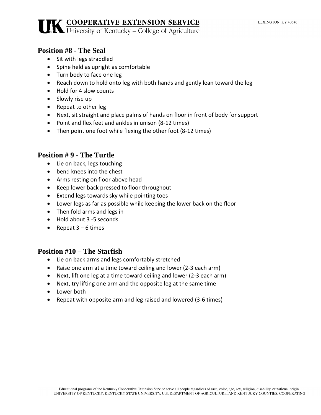#### **Position #8 - The Seal**

- Sit with legs straddled
- Spine held as upright as comfortable
- Turn body to face one leg
- Reach down to hold onto leg with both hands and gently lean toward the leg
- Hold for 4 slow counts
- Slowly rise up
- Repeat to other leg
- Next, sit straight and place palms of hands on floor in front of body for support
- Point and flex feet and ankles in unison (8-12 times)
- Then point one foot while flexing the other foot (8-12 times)

#### **Position # 9 - The Turtle**

- Lie on back, legs touching
- bend knees into the chest
- Arms resting on floor above head
- Keep lower back pressed to floor throughout
- Extend legs towards sky while pointing toes
- Lower legs as far as possible while keeping the lower back on the floor
- Then fold arms and legs in
- Hold about 3 -5 seconds
- Repeat  $3 6$  times

#### **Position #10 – The Starfish**

- Lie on back arms and legs comfortably stretched
- Raise one arm at a time toward ceiling and lower (2-3 each arm)
- Next, lift one leg at a time toward ceiling and lower (2-3 each arm)
- Next, try lifting one arm and the opposite leg at the same time
- Lower both
- Repeat with opposite arm and leg raised and lowered (3-6 times)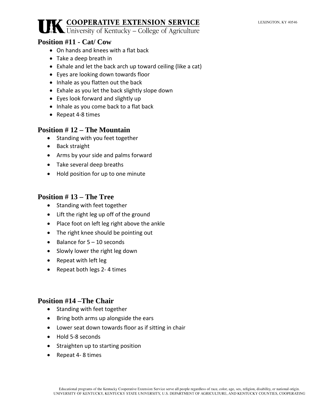#### **Position #11 - Cat/ Cow**

- On hands and knees with a flat back
- Take a deep breath in
- Exhale and let the back arch up toward ceiling (like a cat)
- Eyes are looking down towards floor
- Inhale as you flatten out the back
- Exhale as you let the back slightly slope down
- Eyes look forward and slightly up
- Inhale as you come back to a flat back
- Repeat 4-8 times

#### **Position # 12 – The Mountain**

- Standing with you feet together
- Back straight
- Arms by your side and palms forward
- Take several deep breaths
- Hold position for up to one minute

#### **Position # 13 – The Tree**

- Standing with feet together
- Lift the right leg up off of the ground
- Place foot on left leg right above the ankle
- The right knee should be pointing out
- Balance for 5 10 seconds
- Slowly lower the right leg down
- Repeat with left leg
- Repeat both legs 2- 4 times

#### **Position #14 –The Chair**

- Standing with feet together
- Bring both arms up alongside the ears
- Lower seat down towards floor as if sitting in chair
- Hold 5-8 seconds
- Straighten up to starting position
- Repeat 4- 8 times